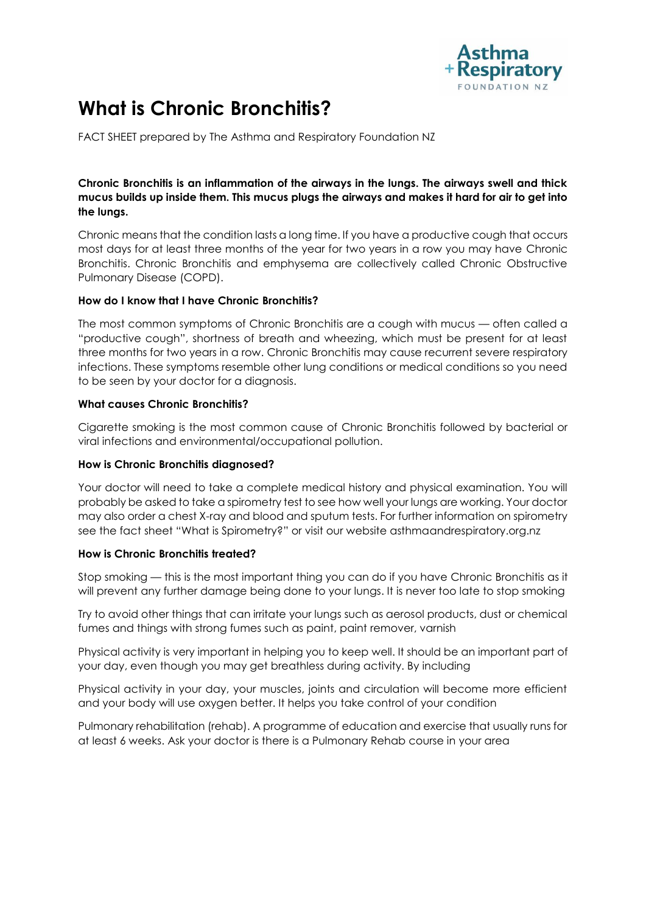

# **What is Chronic Bronchitis?**

FACT SHEET prepared by The Asthma and Respiratory Foundation NZ

## **Chronic Bronchitis is an inflammation of the airways in the lungs. The airways swell and thick mucus builds up inside them. This mucus plugs the airways and makes it hard for air to get into the lungs.**

Chronic means that the condition lasts a long time. If you have a productive cough that occurs most days for at least three months of the year for two years in a row you may have Chronic Bronchitis. Chronic Bronchitis and emphysema are collectively called Chronic Obstructive Pulmonary Disease (COPD).

## **How do I know that I have Chronic Bronchitis?**

The most common symptoms of Chronic Bronchitis are a cough with mucus — often called a "productive cough", shortness of breath and wheezing, which must be present for at least three months for two years in a row. Chronic Bronchitis may cause recurrent severe respiratory infections. These symptoms resemble other lung conditions or medical conditions so you need to be seen by your doctor for a diagnosis.

## **What causes Chronic Bronchitis?**

Cigarette smoking is the most common cause of Chronic Bronchitis followed by bacterial or viral infections and environmental/occupational pollution.

### **How is Chronic Bronchitis diagnosed?**

Your doctor will need to take a complete medical history and physical examination. You will probably be asked to take a spirometry test to see how well your lungs are working. Your doctor may also order a chest X-ray and blood and sputum tests. For further information on spirometry see the fact sheet "What is Spirometry?" or visit our website asthmaandrespiratory.org.nz

### **How is Chronic Bronchitis treated?**

Stop smoking — this is the most important thing you can do if you have Chronic Bronchitis as it will prevent any further damage being done to your lungs. It is never too late to stop smoking

Try to avoid other things that can irritate your lungs such as aerosol products, dust or chemical fumes and things with strong fumes such as paint, paint remover, varnish

Physical activity is very important in helping you to keep well. It should be an important part of your day, even though you may get breathless during activity. By including

Physical activity in your day, your muscles, joints and circulation will become more efficient and your body will use oxygen better. It helps you take control of your condition

Pulmonary rehabilitation (rehab). A programme of education and exercise that usually runs for at least 6 weeks. Ask your doctor is there is a Pulmonary Rehab course in your area